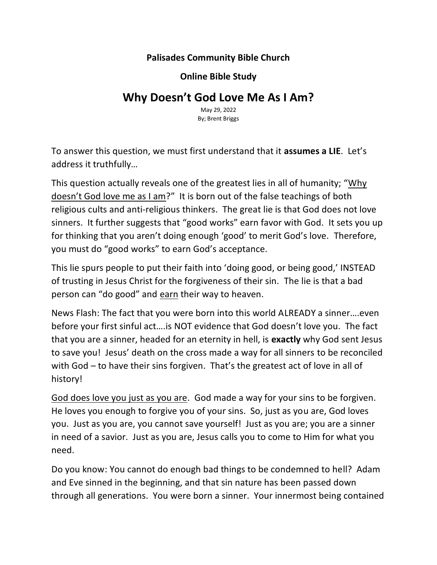## **Palisades Community Bible Church**

**Online Bible Study**

## **Why Doesn't God Love Me As I Am?**

May 29, 2022 By; Brent Briggs

To answer this question, we must first understand that it **assumes a LIE**. Let's address it truthfully…

This question actually reveals one of the greatest lies in all of humanity; "Why doesn't God love me as I am?" It is born out of the false teachings of both religious cults and anti-religious thinkers. The great lie is that God does not love sinners. It further suggests that "good works" earn favor with God. It sets you up for thinking that you aren't doing enough 'good' to merit God's love. Therefore, you must do "good works" to earn God's acceptance.

This lie spurs people to put their faith into 'doing good, or being good,' INSTEAD of trusting in Jesus Christ for the forgiveness of their sin. The lie is that a bad person can "do good" and earn their way to heaven.

News Flash: The fact that you were born into this world ALREADY a sinner….even before your first sinful act….is NOT evidence that God doesn't love you. The fact that you are a sinner, headed for an eternity in hell, is **exactly** why God sent Jesus to save you! Jesus' death on the cross made a way for all sinners to be reconciled with God – to have their sins forgiven. That's the greatest act of love in all of history!

God does love you just as you are. God made a way for your sins to be forgiven. He loves you enough to forgive you of your sins. So, just as you are, God loves you. Just as you are, you cannot save yourself! Just as you are; you are a sinner in need of a savior. Just as you are, Jesus calls you to come to Him for what you need.

Do you know: You cannot do enough bad things to be condemned to hell? Adam and Eve sinned in the beginning, and that sin nature has been passed down through all generations. You were born a sinner. Your innermost being contained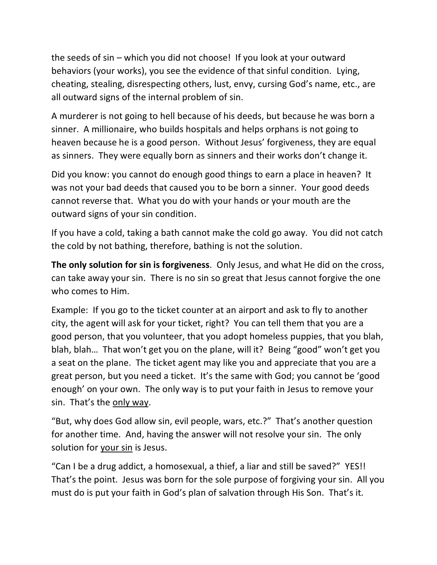the seeds of sin – which you did not choose! If you look at your outward behaviors (your works), you see the evidence of that sinful condition. Lying, cheating, stealing, disrespecting others, lust, envy, cursing God's name, etc., are all outward signs of the internal problem of sin.

A murderer is not going to hell because of his deeds, but because he was born a sinner. A millionaire, who builds hospitals and helps orphans is not going to heaven because he is a good person. Without Jesus' forgiveness, they are equal as sinners. They were equally born as sinners and their works don't change it.

Did you know: you cannot do enough good things to earn a place in heaven? It was not your bad deeds that caused you to be born a sinner. Your good deeds cannot reverse that. What you do with your hands or your mouth are the outward signs of your sin condition.

If you have a cold, taking a bath cannot make the cold go away. You did not catch the cold by not bathing, therefore, bathing is not the solution.

**The only solution for sin is forgiveness**. Only Jesus, and what He did on the cross, can take away your sin. There is no sin so great that Jesus cannot forgive the one who comes to Him.

Example: If you go to the ticket counter at an airport and ask to fly to another city, the agent will ask for your ticket, right? You can tell them that you are a good person, that you volunteer, that you adopt homeless puppies, that you blah, blah, blah… That won't get you on the plane, will it? Being "good" won't get you a seat on the plane. The ticket agent may like you and appreciate that you are a great person, but you need a ticket. It's the same with God; you cannot be 'good enough' on your own. The only way is to put your faith in Jesus to remove your sin. That's the only way.

"But, why does God allow sin, evil people, wars, etc.?" That's another question for another time. And, having the answer will not resolve your sin. The only solution for your sin is Jesus.

"Can I be a drug addict, a homosexual, a thief, a liar and still be saved?" YES!! That's the point. Jesus was born for the sole purpose of forgiving your sin. All you must do is put your faith in God's plan of salvation through His Son. That's it.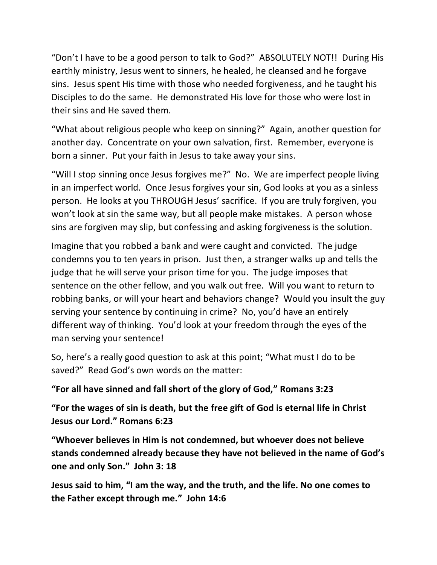"Don't I have to be a good person to talk to God?" ABSOLUTELY NOT!! During His earthly ministry, Jesus went to sinners, he healed, he cleansed and he forgave sins. Jesus spent His time with those who needed forgiveness, and he taught his Disciples to do the same. He demonstrated His love for those who were lost in their sins and He saved them.

"What about religious people who keep on sinning?" Again, another question for another day. Concentrate on your own salvation, first. Remember, everyone is born a sinner. Put your faith in Jesus to take away your sins.

"Will I stop sinning once Jesus forgives me?" No. We are imperfect people living in an imperfect world. Once Jesus forgives your sin, God looks at you as a sinless person. He looks at you THROUGH Jesus' sacrifice. If you are truly forgiven, you won't look at sin the same way, but all people make mistakes. A person whose sins are forgiven may slip, but confessing and asking forgiveness is the solution.

Imagine that you robbed a bank and were caught and convicted. The judge condemns you to ten years in prison. Just then, a stranger walks up and tells the judge that he will serve your prison time for you. The judge imposes that sentence on the other fellow, and you walk out free. Will you want to return to robbing banks, or will your heart and behaviors change? Would you insult the guy serving your sentence by continuing in crime? No, you'd have an entirely different way of thinking. You'd look at your freedom through the eyes of the man serving your sentence!

So, here's a really good question to ask at this point; "What must I do to be saved?" Read God's own words on the matter:

**"For all have sinned and fall short of the glory of God," Romans 3:23**

**"For the wages of sin is death, but the free gift of God is eternal life in Christ Jesus our Lord." Romans 6:23**

**"Whoever believes in Him is not condemned, but whoever does not believe stands condemned already because they have not believed in the name of God's one and only Son." John 3: 18**

**Jesus said to him, "I am the way, and the truth, and the life. No one comes to the Father except through me." John 14:6**